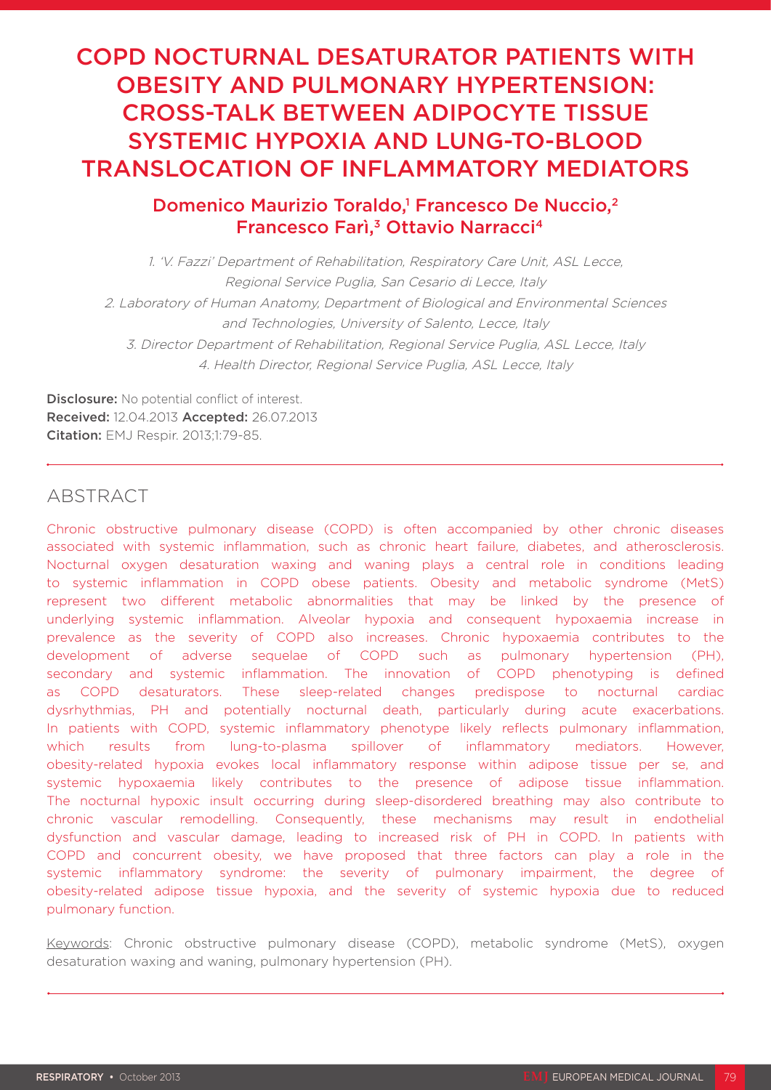# COPD NOCTURNAL DESATURATOR PATIENTS WITH OBESITY AND PULMONARY HYPERTENSION: CROSS-TALK BETWEEN ADIPOCYTE TISSUE SYSTEMIC HYPOXIA AND LUNG-TO-BLOOD TRANSLOCATION OF INFLAMMATORY MEDIATORS

## Domenico Maurizio Toraldo,<sup>1</sup> Francesco De Nuccio,<sup>2</sup> Francesco Farì,<sup>3</sup> Ottavio Narracci<sup>4</sup>

1. 'V. Fazzi' Department of Rehabilitation, Respiratory Care Unit, ASL Lecce, Regional Service Puglia, San Cesario di Lecce, Italy 2. Laboratory of Human Anatomy, Department of Biological and Environmental Sciences and Technologies, University of Salento, Lecce, Italy 3. Director Department of Rehabilitation, Regional Service Puglia, ASL Lecce, Italy 4. Health Director, Regional Service Puglia, ASL Lecce, Italy

Disclosure: No potential conflict of interest. Received: 12.04.2013 Accepted: 26.07.2013 Citation: EMJ Respir. 2013;1:79-85.

## ABSTRACT

Chronic obstructive pulmonary disease (COPD) is often accompanied by other chronic diseases associated with systemic inflammation, such as chronic heart failure, diabetes, and atherosclerosis. Nocturnal oxygen desaturation waxing and waning plays a central role in conditions leading to systemic inflammation in COPD obese patients. Obesity and metabolic syndrome (MetS) represent two different metabolic abnormalities that may be linked by the presence of underlying systemic inflammation. Alveolar hypoxia and consequent hypoxaemia increase in prevalence as the severity of COPD also increases. Chronic hypoxaemia contributes to the development of adverse sequelae of COPD such as pulmonary hypertension (PH), secondary and systemic inflammation. The innovation of COPD phenotyping is defined as COPD desaturators. These sleep-related changes predispose to nocturnal cardiac dysrhythmias, PH and potentially nocturnal death, particularly during acute exacerbations. In patients with COPD, systemic inflammatory phenotype likely reflects pulmonary inflammation, which results from lung-to-plasma spillover of inflammatory mediators. However, obesity-related hypoxia evokes local inflammatory response within adipose tissue per se, and systemic hypoxaemia likely contributes to the presence of adipose tissue inflammation. The nocturnal hypoxic insult occurring during sleep-disordered breathing may also contribute to chronic vascular remodelling. Consequently, these mechanisms may result in endothelial dysfunction and vascular damage, leading to increased risk of PH in COPD. In patients with COPD and concurrent obesity, we have proposed that three factors can play a role in the systemic inflammatory syndrome: the severity of pulmonary impairment, the degree of obesity-related adipose tissue hypoxia, and the severity of systemic hypoxia due to reduced pulmonary function.

Keywords: Chronic obstructive pulmonary disease (COPD), metabolic syndrome (MetS), oxygen desaturation waxing and waning, pulmonary hypertension (PH).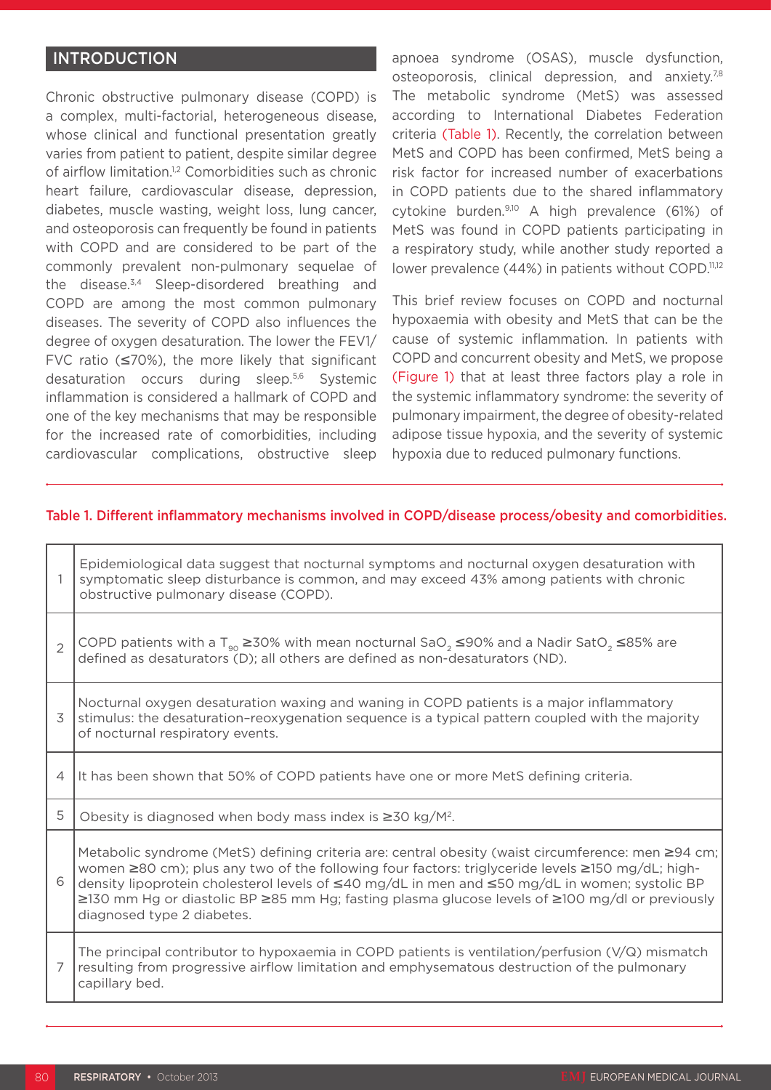## **INTRODUCTION**

Chronic obstructive pulmonary disease (COPD) is a complex, multi-factorial, heterogeneous disease, whose clinical and functional presentation greatly varies from patient to patient, despite similar degree of airflow limitation.<sup>1,2</sup> Comorbidities such as chronic heart failure, cardiovascular disease, depression, diabetes, muscle wasting, weight loss, lung cancer, and osteoporosis can frequently be found in patients with COPD and are considered to be part of the commonly prevalent non-pulmonary sequelae of the disease.3,4 Sleep-disordered breathing and COPD are among the most common pulmonary diseases. The severity of COPD also influences the degree of oxygen desaturation. The lower the FEV1/ FVC ratio  $(≤70%)$ , the more likely that significant desaturation occurs during sleep.5,6 Systemic inflammation is considered a hallmark of COPD and one of the key mechanisms that may be responsible for the increased rate of comorbidities, including cardiovascular complications, obstructive sleep

apnoea syndrome (OSAS), muscle dysfunction, osteoporosis, clinical depression, and anxiety.7,8 The metabolic syndrome (MetS) was assessed according to International Diabetes Federation criteria (Table 1). Recently, the correlation between MetS and COPD has been confirmed, MetS being a risk factor for increased number of exacerbations in COPD patients due to the shared inflammatory cytokine burden.<sup>9,10</sup> A high prevalence (61%) of MetS was found in COPD patients participating in a respiratory study, while another study reported a lower prevalence (44%) in patients without COPD.<sup>11,12</sup>

This brief review focuses on COPD and nocturnal hypoxaemia with obesity and MetS that can be the cause of systemic inflammation. In patients with COPD and concurrent obesity and MetS, we propose (Figure 1) that at least three factors play a role in the systemic inflammatory syndrome: the severity of pulmonary impairment, the degree of obesity-related adipose tissue hypoxia, and the severity of systemic hypoxia due to reduced pulmonary functions.

#### Table 1. Different inflammatory mechanisms involved in COPD/disease process/obesity and comorbidities.

| 1              | Epidemiological data suggest that nocturnal symptoms and nocturnal oxygen desaturation with<br>symptomatic sleep disturbance is common, and may exceed 43% among patients with chronic<br>obstructive pulmonary disease (COPD).                                                                                                                                                                                                           |  |
|----------------|-------------------------------------------------------------------------------------------------------------------------------------------------------------------------------------------------------------------------------------------------------------------------------------------------------------------------------------------------------------------------------------------------------------------------------------------|--|
| $\overline{2}$ | COPD patients with a T <sub>90</sub> ≥30% with mean nocturnal SaO <sub>2</sub> ≤90% and a Nadir SatO <sub>2</sub> ≤85% are<br>defined as desaturators (D); all others are defined as non-desaturators (ND).                                                                                                                                                                                                                               |  |
| 3              | Nocturnal oxygen desaturation waxing and waning in COPD patients is a major inflammatory<br>stimulus: the desaturation-reoxygenation sequence is a typical pattern coupled with the majority<br>of nocturnal respiratory events.                                                                                                                                                                                                          |  |
| $\overline{4}$ | It has been shown that 50% of COPD patients have one or more MetS defining criteria.                                                                                                                                                                                                                                                                                                                                                      |  |
| 5              | Obesity is diagnosed when body mass index is $\geq 30$ kg/M <sup>2</sup> .                                                                                                                                                                                                                                                                                                                                                                |  |
| 6              | Metabolic syndrome (MetS) defining criteria are: central obesity (waist circumference: men ≥94 cm;<br>women ≥80 cm); plus any two of the following four factors: triglyceride levels ≥150 mg/dL; high-<br>density lipoprotein cholesterol levels of ≤40 mg/dL in men and ≤50 mg/dL in women; systolic BP<br>≥130 mm Hg or diastolic BP ≥85 mm Hg; fasting plasma glucose levels of ≥100 mg/dl or previously<br>diagnosed type 2 diabetes. |  |
| 7              | The principal contributor to hypoxaemia in COPD patients is ventilation/perfusion $(V/Q)$ mismatch<br>resulting from progressive airflow limitation and emphysematous destruction of the pulmonary<br>capillary bed.                                                                                                                                                                                                                      |  |
|                |                                                                                                                                                                                                                                                                                                                                                                                                                                           |  |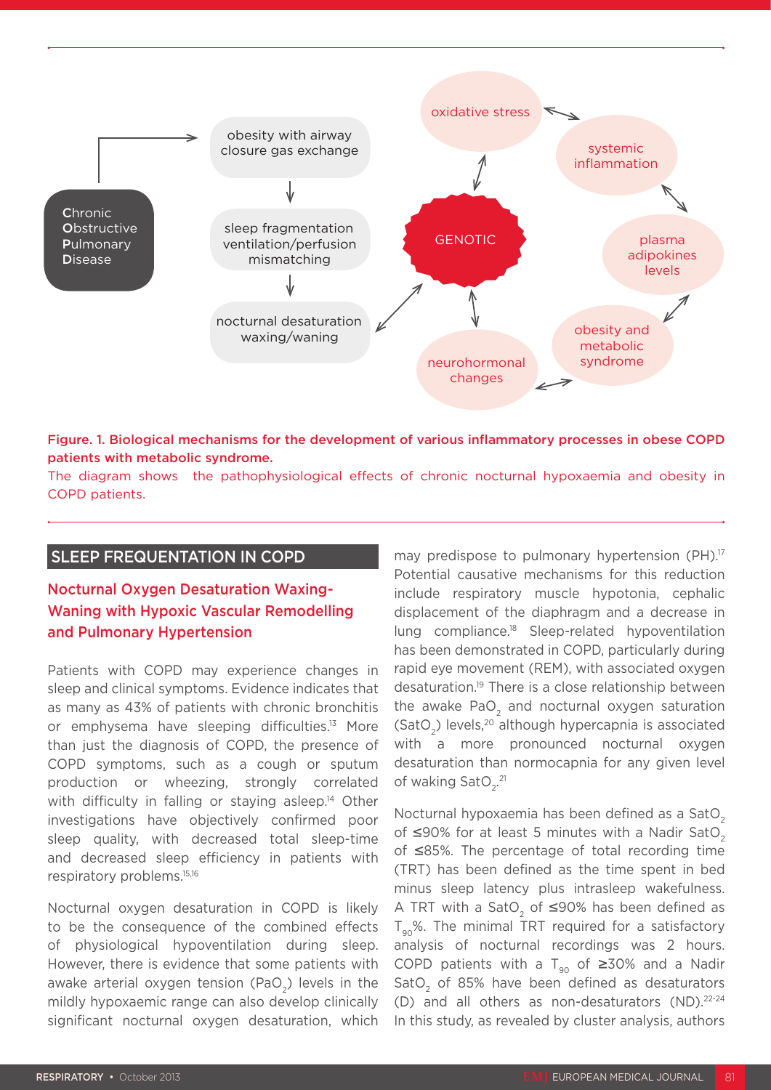

#### Figure. 1. Biological mechanisms for the development of various inflammatory processes in obese COPD patients with metabolic syndrome.

The diagram shows the pathophysiological effects of chronic nocturnal hypoxaemia and obesity in COPD patients.

## SLEEP FREQUENTATION IN COPD

## Nocturnal Oxygen Desaturation Waxing-Waning with Hypoxic Vascular Remodelling and Pulmonary Hypertension

Patients with COPD may experience changes in sleep and clinical symptoms. Evidence indicates that as many as 43% of patients with chronic bronchitis or emphysema have sleeping difficulties.13 More than just the diagnosis of COPD, the presence of COPD symptoms, such as a cough or sputum production or wheezing, strongly correlated with difficulty in falling or staying asleep.<sup>14</sup> Other investigations have objectively confirmed poor sleep quality, with decreased total sleep-time and decreased sleep efficiency in patients with respiratory problems.15,16

Nocturnal oxygen desaturation in COPD is likely to be the consequence of the combined effects of physiological hypoventilation during sleep. However, there is evidence that some patients with awake arterial oxygen tension (PaO<sub>2</sub>) levels in the mildly hypoxaemic range can also develop clinically significant nocturnal oxygen desaturation, which may predispose to pulmonary hypertension (PH).<sup>17</sup> Potential causative mechanisms for this reduction include respiratory muscle hypotonia, cephalic displacement of the diaphragm and a decrease in lung compliance.18 Sleep-related hypoventilation has been demonstrated in COPD, particularly during rapid eye movement (REM), with associated oxygen desaturation.19 There is a close relationship between the awake PaO<sub>2</sub> and nocturnal oxygen saturation (SatO<sub>2</sub>) levels,<sup>20</sup> although hypercapnia is associated with a more pronounced nocturnal oxygen desaturation than normocapnia for any given level of waking  $\text{SatO}_{2}^{21}$ 

Nocturnal hypoxaemia has been defined as a SatO<sub>2</sub> of ≤90% for at least 5 minutes with a Nadir SatO<sub>2</sub> of ≤85%. The percentage of total recording time (TRT) has been defined as the time spent in bed minus sleep latency plus intrasleep wakefulness. A TRT with a SatO<sub>2</sub> of ≤90% has been defined as  $T_{\text{eq}}$ %. The minimal TRT required for a satisfactory analysis of nocturnal recordings was 2 hours. COPD patients with a T<sub>90</sub> of ≥30% and a Nadir SatO<sub>2</sub> of 85% have been defined as desaturators (D) and all others as non-desaturators (ND).<sup>22-24</sup> In this study, as revealed by cluster analysis, authors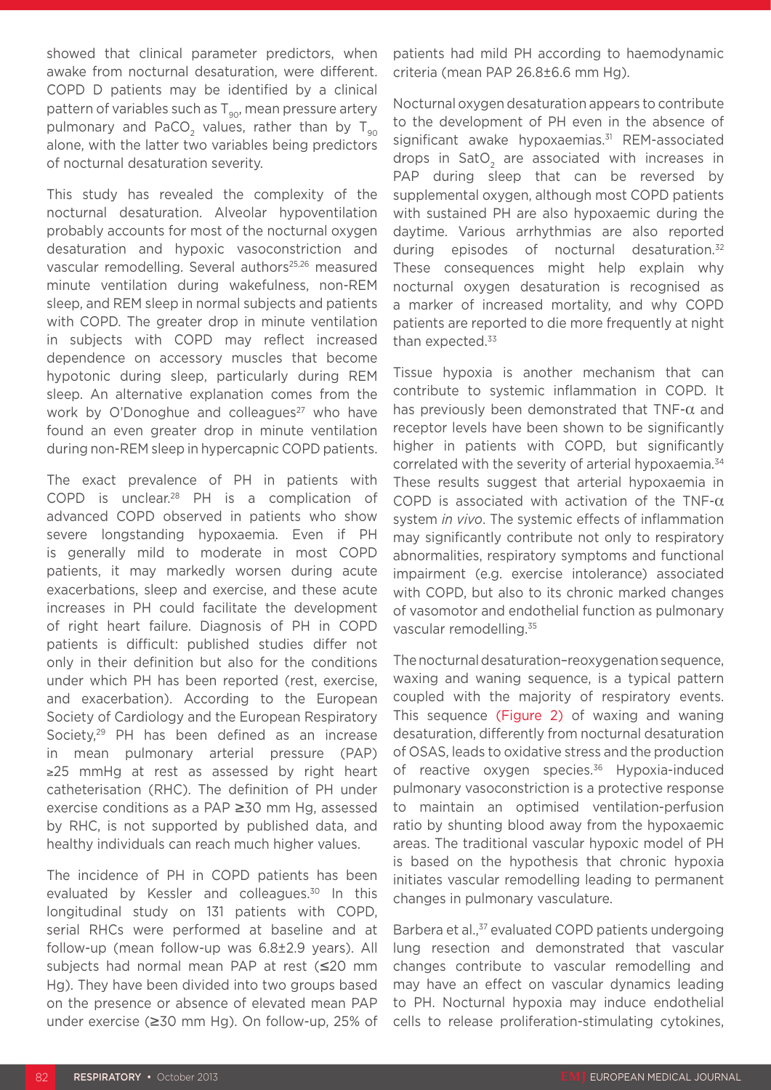showed that clinical parameter predictors, when awake from nocturnal desaturation, were different. COPD D patients may be identified by a clinical pattern of variables such as  $T_{90}$ , mean pressure artery pulmonary and PaCO<sub>2</sub> values, rather than by T<sub>90</sub> alone, with the latter two variables being predictors of nocturnal desaturation severity.

This study has revealed the complexity of the nocturnal desaturation. Alveolar hypoventilation probably accounts for most of the nocturnal oxygen desaturation and hypoxic vasoconstriction and vascular remodelling. Several authors<sup>25,26</sup> measured minute ventilation during wakefulness, non-REM sleep, and REM sleep in normal subjects and patients with COPD. The greater drop in minute ventilation in subjects with COPD may reflect increased dependence on accessory muscles that become hypotonic during sleep, particularly during REM sleep. An alternative explanation comes from the work by O'Donoghue and colleagues<sup>27</sup> who have found an even greater drop in minute ventilation during non-REM sleep in hypercapnic COPD patients.

The exact prevalence of PH in patients with COPD is unclear.28 PH is a complication of advanced COPD observed in patients who show severe longstanding hypoxaemia. Even if PH is generally mild to moderate in most COPD patients, it may markedly worsen during acute exacerbations, sleep and exercise, and these acute increases in PH could facilitate the development of right heart failure. Diagnosis of PH in COPD patients is difficult: published studies differ not only in their definition but also for the conditions under which PH has been reported (rest, exercise, and exacerbation). According to the European Society of Cardiology and the European Respiratory Society,<sup>29</sup> PH has been defined as an increase in mean pulmonary arterial pressure (PAP) ≥25 mmHg at rest as assessed by right heart catheterisation (RHC). The definition of PH under exercise conditions as a PAP ≥30 mm Hg, assessed by RHC, is not supported by published data, and healthy individuals can reach much higher values.

The incidence of PH in COPD patients has been evaluated by Kessler and colleagues.<sup>30</sup> In this longitudinal study on 131 patients with COPD, serial RHCs were performed at baseline and at follow-up (mean follow-up was 6.8±2.9 years). All subjects had normal mean PAP at rest (≤20 mm Hg). They have been divided into two groups based on the presence or absence of elevated mean PAP under exercise (≥30 mm Hg). On follow-up, 25% of

patients had mild PH according to haemodynamic criteria (mean PAP 26.8±6.6 mm Hg).

Nocturnal oxygen desaturation appears to contribute to the development of PH even in the absence of significant awake hypoxaemias.<sup>31</sup> REM-associated drops in SatO<sub>2</sub> are associated with increases in PAP during sleep that can be reversed by supplemental oxygen, although most COPD patients with sustained PH are also hypoxaemic during the daytime. Various arrhythmias are also reported during episodes of nocturnal desaturation.<sup>32</sup> These consequences might help explain why nocturnal oxygen desaturation is recognised as a marker of increased mortality, and why COPD patients are reported to die more frequently at night than expected.<sup>33</sup>

Tissue hypoxia is another mechanism that can contribute to systemic inflammation in COPD. It has previously been demonstrated that TNF- $\alpha$  and receptor levels have been shown to be significantly higher in patients with COPD, but significantly correlated with the severity of arterial hypoxaemia.<sup>34</sup> These results suggest that arterial hypoxaemia in COPD is associated with activation of the TNF- $\alpha$ system *in vivo*. The systemic effects of inflammation may significantly contribute not only to respiratory abnormalities, respiratory symptoms and functional impairment (e.g. exercise intolerance) associated with COPD, but also to its chronic marked changes of vasomotor and endothelial function as pulmonary vascular remodelling.<sup>35</sup>

The nocturnal desaturation-reoxygenation sequence, waxing and waning sequence, is a typical pattern coupled with the majority of respiratory events. This sequence (Figure 2) of waxing and waning desaturation, differently from nocturnal desaturation of OSAS, leads to oxidative stress and the production of reactive oxygen species.<sup>36</sup> Hypoxia-induced pulmonary vasoconstriction is a protective response to maintain an optimised ventilation-perfusion ratio by shunting blood away from the hypoxaemic areas. The traditional vascular hypoxic model of PH is based on the hypothesis that chronic hypoxia initiates vascular remodelling leading to permanent changes in pulmonary vasculature.

Barbera et al.,<sup>37</sup> evaluated COPD patients undergoing lung resection and demonstrated that vascular changes contribute to vascular remodelling and may have an effect on vascular dynamics leading to PH. Nocturnal hypoxia may induce endothelial cells to release proliferation-stimulating cytokines,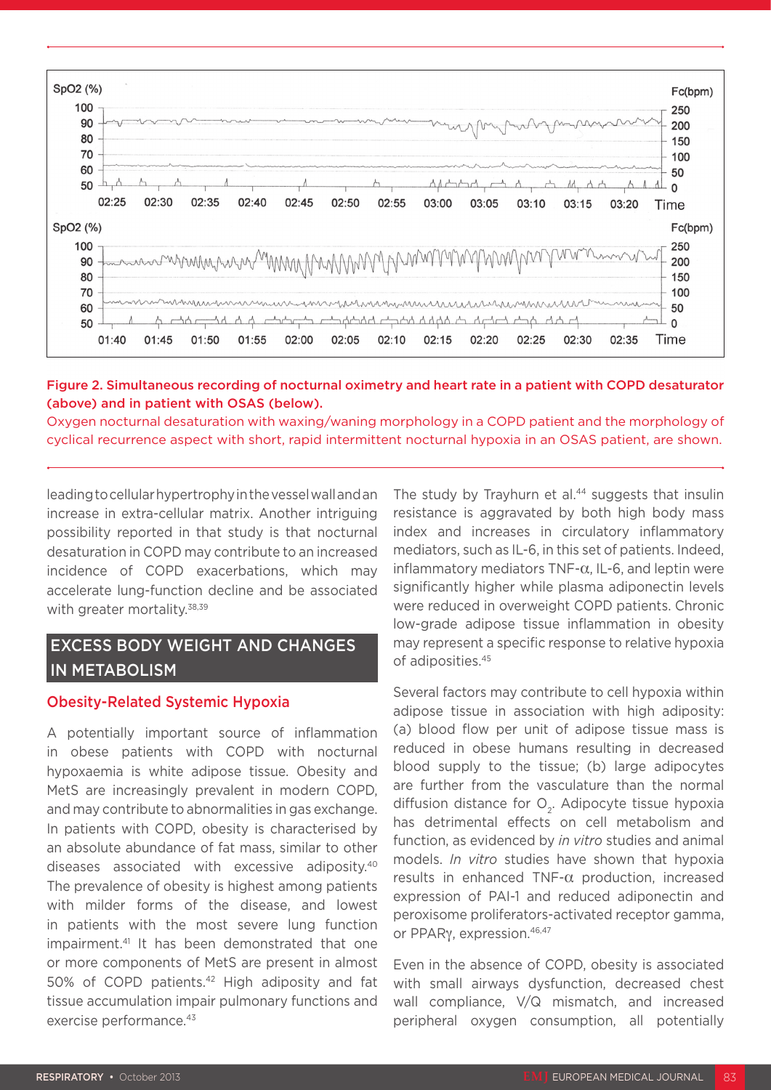

#### Figure 2. Simultaneous recording of nocturnal oximetry and heart rate in a patient with COPD desaturator (above) and in patient with OSAS (below).

Oxygen nocturnal desaturation with waxing/waning morphology in a COPD patient and the morphology of cyclical recurrence aspect with short, rapid intermittent nocturnal hypoxia in an OSAS patient, are shown.

leading to cellular hypertrophy in the vessel wall and an increase in extra-cellular matrix. Another intriguing possibility reported in that study is that nocturnal desaturation in COPD may contribute to an increased incidence of COPD exacerbations, which may accelerate lung-function decline and be associated with greater mortality.<sup>38,39</sup>

# EXCESS BODY WEIGHT AND CHANGES IN METABOLISM

## Obesity-Related Systemic Hypoxia

A potentially important source of inflammation in obese patients with COPD with nocturnal hypoxaemia is white adipose tissue. Obesity and MetS are increasingly prevalent in modern COPD, and may contribute to abnormalities in gas exchange. In patients with COPD, obesity is characterised by an absolute abundance of fat mass, similar to other diseases associated with excessive adiposity.40 The prevalence of obesity is highest among patients with milder forms of the disease, and lowest in patients with the most severe lung function impairment.<sup>41</sup> It has been demonstrated that one or more components of MetS are present in almost 50% of COPD patients.<sup>42</sup> High adiposity and fat tissue accumulation impair pulmonary functions and exercise performance.<sup>43</sup>

The study by Trayhurn et al.<sup>44</sup> suggests that insulin resistance is aggravated by both high body mass index and increases in circulatory inflammatory mediators, such as IL-6, in this set of patients. Indeed, inflammatory mediators TNF-α, IL-6, and leptin were significantly higher while plasma adiponectin levels were reduced in overweight COPD patients. Chronic low-grade adipose tissue inflammation in obesity may represent a specific response to relative hypoxia of adiposities.45

Several factors may contribute to cell hypoxia within adipose tissue in association with high adiposity: (a) blood flow per unit of adipose tissue mass is reduced in obese humans resulting in decreased blood supply to the tissue; (b) large adipocytes are further from the vasculature than the normal diffusion distance for  $O<sub>2</sub>$ . Adipocyte tissue hypoxia has detrimental effects on cell metabolism and function, as evidenced by *in vitro* studies and animal models. *In vitro* studies have shown that hypoxia results in enhanced TNF- $\alpha$  production, increased expression of PAI-1 and reduced adiponectin and peroxisome proliferators-activated receptor gamma, or PPARγ, expression.46,47

Even in the absence of COPD, obesity is associated with small airways dysfunction, decreased chest wall compliance, V/Q mismatch, and increased peripheral oxygen consumption, all potentially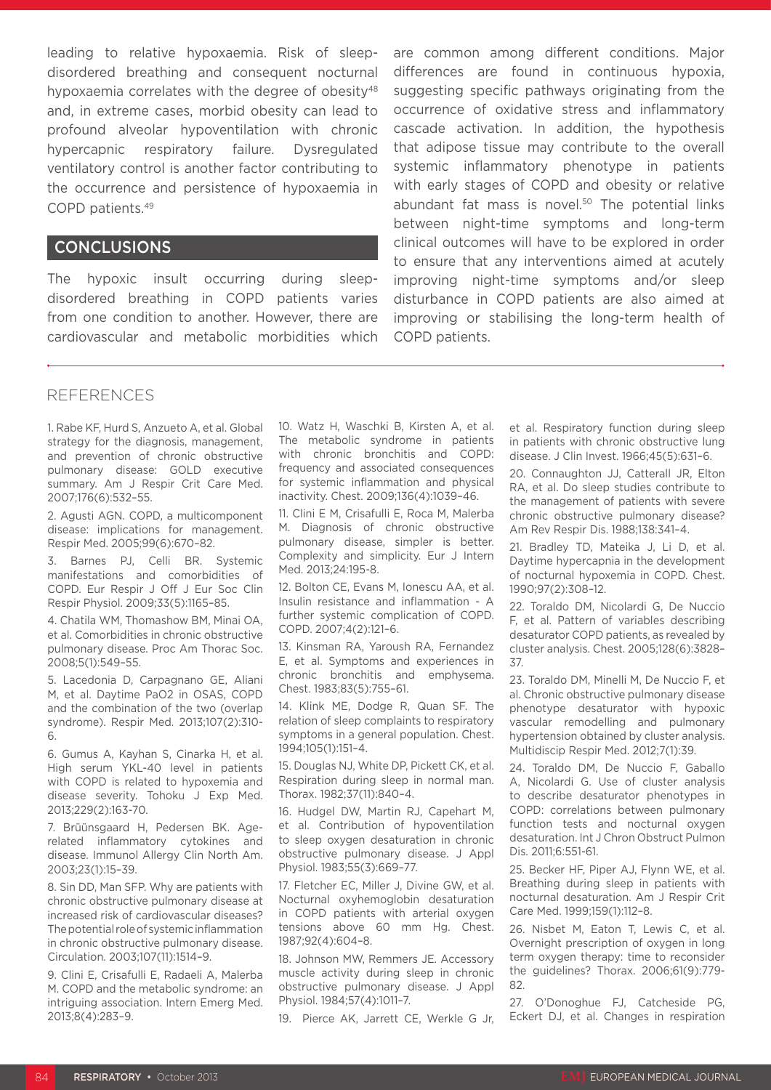leading to relative hypoxaemia. Risk of sleepdisordered breathing and consequent nocturnal hypoxaemia correlates with the degree of obesity<sup>48</sup> and, in extreme cases, morbid obesity can lead to profound alveolar hypoventilation with chronic hypercapnic respiratory failure. Dysregulated ventilatory control is another factor contributing to the occurrence and persistence of hypoxaemia in COPD patients.49

## CONCLUSIONS

The hypoxic insult occurring during sleepdisordered breathing in COPD patients varies from one condition to another. However, there are cardiovascular and metabolic morbidities which are common among different conditions. Major differences are found in continuous hypoxia, suggesting specific pathways originating from the occurrence of oxidative stress and inflammatory cascade activation. In addition, the hypothesis that adipose tissue may contribute to the overall systemic inflammatory phenotype in patients with early stages of COPD and obesity or relative abundant fat mass is novel.<sup>50</sup> The potential links between night-time symptoms and long-term clinical outcomes will have to be explored in order to ensure that any interventions aimed at acutely improving night-time symptoms and/or sleep disturbance in COPD patients are also aimed at improving or stabilising the long-term health of COPD patients.

#### REFERENCES

1. Rabe KF, Hurd S, Anzueto A, et al. Global strategy for the diagnosis, management, and prevention of chronic obstructive pulmonary disease: GOLD executive summary. Am J Respir Crit Care Med. 2007;176(6):532–55.

2. Agusti AGN. COPD, a multicomponent disease: implications for management. Respir Med. 2005;99(6):670–82.

3. Barnes PJ, Celli BR. Systemic manifestations and comorbidities of COPD. Eur Respir J Off J Eur Soc Clin Respir Physiol. 2009;33(5):1165–85.

4. Chatila WM, Thomashow BM, Minai OA, et al. Comorbidities in chronic obstructive pulmonary disease. Proc Am Thorac Soc. 2008;5(1):549–55.

5. Lacedonia D, Carpagnano GE, Aliani M, et al. Daytime PaO2 in OSAS, COPD and the combination of the two (overlap syndrome). Respir Med. 2013;107(2):310- 6.

6. Gumus A, Kayhan S, Cinarka H, et al. High serum YKL-40 level in patients with COPD is related to hypoxemia and disease severity. Tohoku J Exp Med. 2013;229(2):163-70.

7. Brüünsgaard H, Pedersen BK. Agerelated inflammatory cytokines and disease. Immunol Allergy Clin North Am. 2003;23(1):15–39.

8. Sin DD, Man SFP. Why are patients with chronic obstructive pulmonary disease at increased risk of cardiovascular diseases? The potential role of systemic inflammation in chronic obstructive pulmonary disease. Circulation. 2003;107(11):1514–9.

9. Clini E, Crisafulli E, Radaeli A, Malerba M. COPD and the metabolic syndrome: an intriguing association. Intern Emerg Med. 2013;8(4):283–9.

10. Watz H, Waschki B, Kirsten A, et al. The metabolic syndrome in patients with chronic bronchitis and COPD: frequency and associated consequences for systemic inflammation and physical inactivity. Chest. 2009;136(4):1039–46.

11. Clini E M, Crisafulli E, Roca M, Malerba M. Diagnosis of chronic obstructive pulmonary disease, simpler is better. Complexity and simplicity. Eur J Intern Med. 2013;24:195-8.

12. Bolton CE, Evans M, Ionescu AA, et al. Insulin resistance and inflammation - A further systemic complication of COPD. COPD. 2007;4(2):121–6.

13. Kinsman RA, Yaroush RA, Fernandez E, et al. Symptoms and experiences in chronic bronchitis and emphysema. Chest. 1983;83(5):755–61.

14. Klink ME, Dodge R, Quan SF. The relation of sleep complaints to respiratory symptoms in a general population. Chest. 1994;105(1):151–4.

15. Douglas NJ, White DP, Pickett CK, et al. Respiration during sleep in normal man. Thorax. 1982;37(11):840–4.

16. Hudgel DW, Martin RJ, Capehart M, et al. Contribution of hypoventilation to sleep oxygen desaturation in chronic obstructive pulmonary disease. J Appl Physiol. 1983;55(3):669–77.

17. Fletcher EC, Miller J, Divine GW, et al. Nocturnal oxyhemoglobin desaturation in COPD patients with arterial oxygen tensions above 60 mm Hg. Chest. 1987;92(4):604–8.

18. Johnson MW, Remmers JE. Accessory muscle activity during sleep in chronic obstructive pulmonary disease. J Appl Physiol. 1984;57(4):1011–7.

19. Pierce AK, Jarrett CE, Werkle G Jr,

et al. Respiratory function during sleep in patients with chronic obstructive lung disease. J Clin Invest. 1966;45(5):631–6.

20. Connaughton JJ, Catterall JR, Elton RA, et al. Do sleep studies contribute to the management of patients with severe chronic obstructive pulmonary disease? Am Rev Respir Dis. 1988;138:341–4.

21. Bradley TD, Mateika J, Li D, et al. Daytime hypercapnia in the development of nocturnal hypoxemia in COPD. Chest. 1990;97(2):308–12.

22. Toraldo DM, Nicolardi G, De Nuccio F, et al. Pattern of variables describing desaturator COPD patients, as revealed by cluster analysis. Chest. 2005;128(6):3828– 37.

23. Toraldo DM, Minelli M, De Nuccio F, et al. Chronic obstructive pulmonary disease phenotype desaturator with hypoxic vascular remodelling and pulmonary hypertension obtained by cluster analysis. Multidiscip Respir Med. 2012;7(1):39.

24. Toraldo DM, De Nuccio F, Gaballo A, Nicolardi G. Use of cluster analysis to describe desaturator phenotypes in COPD: correlations between pulmonary function tests and nocturnal oxygen desaturation. Int J Chron Obstruct Pulmon Dis. 2011;6:551-61.

25. Becker HF, Piper AJ, Flynn WE, et al. Breathing during sleep in patients with nocturnal desaturation. Am J Respir Crit Care Med. 1999;159(1):112–8.

26. Nisbet M, Eaton T, Lewis C, et al. Overnight prescription of oxygen in long term oxygen therapy: time to reconsider the guidelines? Thorax. 2006;61(9):779- 82.

27. O'Donoghue FJ, Catcheside PG, Eckert DJ, et al. Changes in respiration